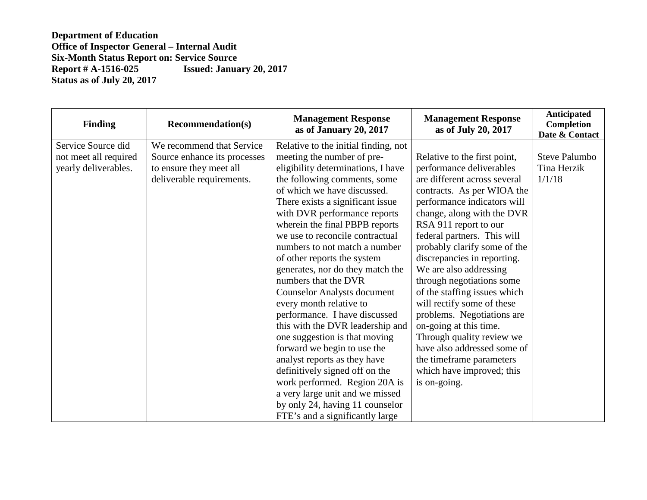| <b>Finding</b>        | <b>Recommendation(s)</b>     | <b>Management Response</b><br>as of January 20, 2017 | <b>Management Response</b><br>as of July 20, 2017 | Anticipated<br>Completion<br>Date & Contact |
|-----------------------|------------------------------|------------------------------------------------------|---------------------------------------------------|---------------------------------------------|
| Service Source did    | We recommend that Service    | Relative to the initial finding, not                 |                                                   |                                             |
| not meet all required | Source enhance its processes | meeting the number of pre-                           | Relative to the first point,                      | <b>Steve Palumbo</b>                        |
| yearly deliverables.  | to ensure they meet all      | eligibility determinations, I have                   | performance deliverables                          | Tina Herzik                                 |
|                       | deliverable requirements.    | the following comments, some                         | are different across several                      | 1/1/18                                      |
|                       |                              | of which we have discussed.                          | contracts. As per WIOA the                        |                                             |
|                       |                              | There exists a significant issue.                    | performance indicators will                       |                                             |
|                       |                              | with DVR performance reports                         | change, along with the DVR                        |                                             |
|                       |                              | wherein the final PBPB reports                       | RSA 911 report to our                             |                                             |
|                       |                              | we use to reconcile contractual                      | federal partners. This will                       |                                             |
|                       |                              | numbers to not match a number                        | probably clarify some of the                      |                                             |
|                       |                              | of other reports the system                          | discrepancies in reporting.                       |                                             |
|                       |                              | generates, nor do they match the                     | We are also addressing                            |                                             |
|                       |                              | numbers that the DVR                                 | through negotiations some                         |                                             |
|                       |                              | <b>Counselor Analysts document</b>                   | of the staffing issues which                      |                                             |
|                       |                              | every month relative to                              | will rectify some of these                        |                                             |
|                       |                              | performance. I have discussed                        | problems. Negotiations are                        |                                             |
|                       |                              | this with the DVR leadership and                     | on-going at this time.                            |                                             |
|                       |                              | one suggestion is that moving                        | Through quality review we                         |                                             |
|                       |                              | forward we begin to use the                          | have also addressed some of                       |                                             |
|                       |                              | analyst reports as they have                         | the timeframe parameters                          |                                             |
|                       |                              | definitively signed off on the                       | which have improved; this                         |                                             |
|                       |                              | work performed. Region 20A is                        | is on-going.                                      |                                             |
|                       |                              | a very large unit and we missed                      |                                                   |                                             |
|                       |                              | by only 24, having 11 counselor                      |                                                   |                                             |
|                       |                              | FTE's and a significantly large                      |                                                   |                                             |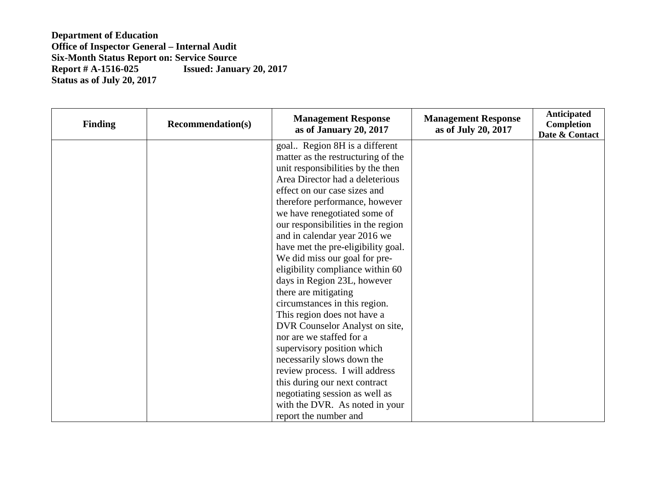| <b>Finding</b> | <b>Recommendation(s)</b> | <b>Management Response</b><br>as of January 20, 2017 | <b>Management Response</b><br>as of July 20, 2017 | Anticipated<br>Completion<br>Date & Contact |
|----------------|--------------------------|------------------------------------------------------|---------------------------------------------------|---------------------------------------------|
|                |                          | goal Region 8H is a different                        |                                                   |                                             |
|                |                          | matter as the restructuring of the                   |                                                   |                                             |
|                |                          | unit responsibilities by the then                    |                                                   |                                             |
|                |                          | Area Director had a deleterious                      |                                                   |                                             |
|                |                          | effect on our case sizes and                         |                                                   |                                             |
|                |                          | therefore performance, however                       |                                                   |                                             |
|                |                          | we have renegotiated some of                         |                                                   |                                             |
|                |                          | our responsibilities in the region                   |                                                   |                                             |
|                |                          | and in calendar year 2016 we                         |                                                   |                                             |
|                |                          | have met the pre-eligibility goal.                   |                                                   |                                             |
|                |                          | We did miss our goal for pre-                        |                                                   |                                             |
|                |                          | eligibility compliance within 60                     |                                                   |                                             |
|                |                          | days in Region 23L, however                          |                                                   |                                             |
|                |                          | there are mitigating                                 |                                                   |                                             |
|                |                          | circumstances in this region.                        |                                                   |                                             |
|                |                          | This region does not have a                          |                                                   |                                             |
|                |                          | DVR Counselor Analyst on site,                       |                                                   |                                             |
|                |                          | nor are we staffed for a                             |                                                   |                                             |
|                |                          | supervisory position which                           |                                                   |                                             |
|                |                          | necessarily slows down the                           |                                                   |                                             |
|                |                          | review process. I will address                       |                                                   |                                             |
|                |                          | this during our next contract                        |                                                   |                                             |
|                |                          | negotiating session as well as                       |                                                   |                                             |
|                |                          | with the DVR. As noted in your                       |                                                   |                                             |
|                |                          | report the number and                                |                                                   |                                             |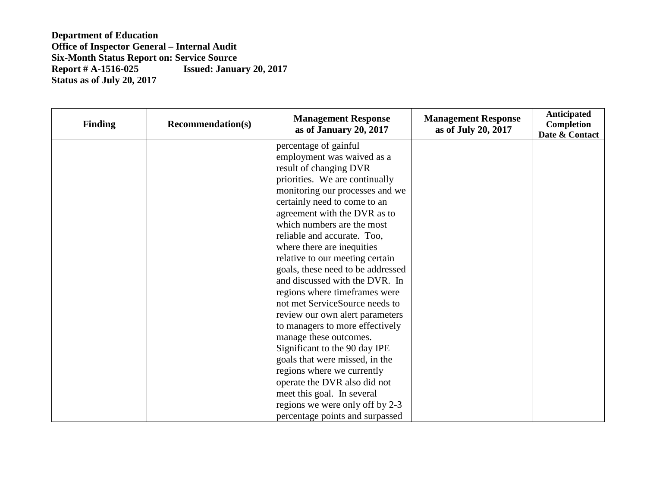| <b>Finding</b> | <b>Recommendation(s)</b> | <b>Management Response</b><br>as of January 20, 2017 | <b>Management Response</b><br>as of July 20, 2017 | Anticipated<br>Completion<br>Date & Contact |
|----------------|--------------------------|------------------------------------------------------|---------------------------------------------------|---------------------------------------------|
|                |                          | percentage of gainful                                |                                                   |                                             |
|                |                          | employment was waived as a                           |                                                   |                                             |
|                |                          | result of changing DVR                               |                                                   |                                             |
|                |                          | priorities. We are continually                       |                                                   |                                             |
|                |                          | monitoring our processes and we                      |                                                   |                                             |
|                |                          | certainly need to come to an                         |                                                   |                                             |
|                |                          | agreement with the DVR as to                         |                                                   |                                             |
|                |                          | which numbers are the most                           |                                                   |                                             |
|                |                          | reliable and accurate. Too,                          |                                                   |                                             |
|                |                          | where there are inequities                           |                                                   |                                             |
|                |                          | relative to our meeting certain                      |                                                   |                                             |
|                |                          | goals, these need to be addressed                    |                                                   |                                             |
|                |                          | and discussed with the DVR. In                       |                                                   |                                             |
|                |                          | regions where timeframes were                        |                                                   |                                             |
|                |                          | not met ServiceSource needs to                       |                                                   |                                             |
|                |                          | review our own alert parameters                      |                                                   |                                             |
|                |                          | to managers to more effectively                      |                                                   |                                             |
|                |                          | manage these outcomes.                               |                                                   |                                             |
|                |                          | Significant to the 90 day IPE                        |                                                   |                                             |
|                |                          | goals that were missed, in the                       |                                                   |                                             |
|                |                          | regions where we currently                           |                                                   |                                             |
|                |                          | operate the DVR also did not                         |                                                   |                                             |
|                |                          | meet this goal. In several                           |                                                   |                                             |
|                |                          | regions we were only off by 2-3                      |                                                   |                                             |
|                |                          | percentage points and surpassed                      |                                                   |                                             |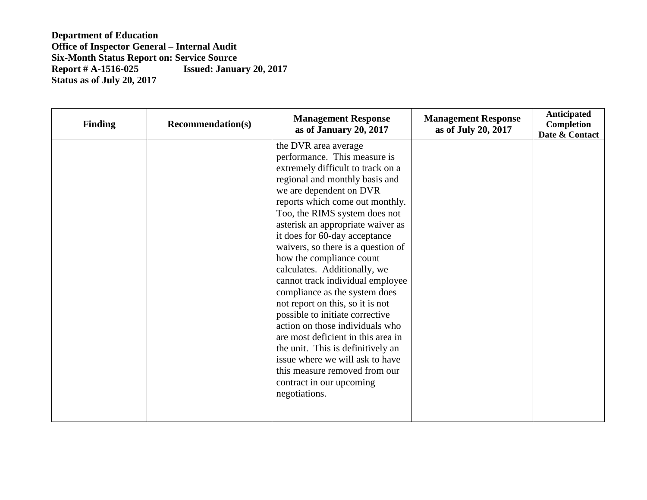| <b>Finding</b> | <b>Recommendation(s)</b> | <b>Management Response</b><br>as of January 20, 2017                                                                                                                                                                                                                                                                                                                                                                                                                                                                                                                                                                                                                                                                                                                          | <b>Management Response</b><br>as of July 20, 2017 | Anticipated<br>Completion<br>Date & Contact |
|----------------|--------------------------|-------------------------------------------------------------------------------------------------------------------------------------------------------------------------------------------------------------------------------------------------------------------------------------------------------------------------------------------------------------------------------------------------------------------------------------------------------------------------------------------------------------------------------------------------------------------------------------------------------------------------------------------------------------------------------------------------------------------------------------------------------------------------------|---------------------------------------------------|---------------------------------------------|
|                |                          | the DVR area average<br>performance. This measure is<br>extremely difficult to track on a<br>regional and monthly basis and<br>we are dependent on DVR<br>reports which come out monthly.<br>Too, the RIMS system does not<br>asterisk an appropriate waiver as<br>it does for 60-day acceptance<br>waivers, so there is a question of<br>how the compliance count<br>calculates. Additionally, we<br>cannot track individual employee<br>compliance as the system does<br>not report on this, so it is not<br>possible to initiate corrective<br>action on those individuals who<br>are most deficient in this area in<br>the unit. This is definitively an<br>issue where we will ask to have<br>this measure removed from our<br>contract in our upcoming<br>negotiations. |                                                   |                                             |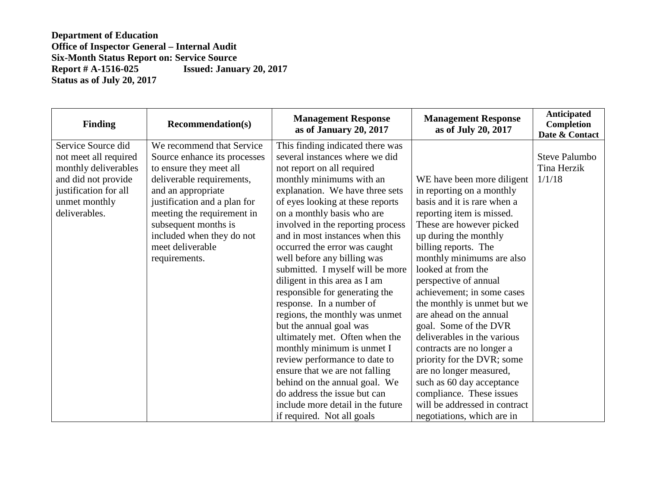| <b>Finding</b>        | <b>Recommendation(s)</b>     | <b>Management Response</b><br>as of January 20, 2017 | <b>Management Response</b><br>as of July 20, 2017 | Anticipated<br>Completion<br>Date & Contact |
|-----------------------|------------------------------|------------------------------------------------------|---------------------------------------------------|---------------------------------------------|
| Service Source did    | We recommend that Service    | This finding indicated there was                     |                                                   |                                             |
| not meet all required | Source enhance its processes | several instances where we did                       |                                                   | <b>Steve Palumbo</b>                        |
| monthly deliverables  | to ensure they meet all      | not report on all required                           |                                                   | Tina Herzik                                 |
| and did not provide   | deliverable requirements,    | monthly minimums with an                             | WE have been more diligent                        | 1/1/18                                      |
| justification for all | and an appropriate           | explanation. We have three sets                      | in reporting on a monthly                         |                                             |
| unmet monthly         | justification and a plan for | of eyes looking at these reports                     | basis and it is rare when a                       |                                             |
| deliverables.         | meeting the requirement in   | on a monthly basis who are                           | reporting item is missed.                         |                                             |
|                       | subsequent months is         | involved in the reporting process                    | These are however picked                          |                                             |
|                       | included when they do not    | and in most instances when this                      | up during the monthly                             |                                             |
|                       | meet deliverable             | occurred the error was caught                        | billing reports. The                              |                                             |
|                       | requirements.                | well before any billing was                          | monthly minimums are also                         |                                             |
|                       |                              | submitted. I myself will be more                     | looked at from the                                |                                             |
|                       |                              | diligent in this area as I am                        | perspective of annual                             |                                             |
|                       |                              | responsible for generating the                       | achievement; in some cases                        |                                             |
|                       |                              | response. In a number of                             | the monthly is unmet but we                       |                                             |
|                       |                              | regions, the monthly was unmet                       | are ahead on the annual                           |                                             |
|                       |                              | but the annual goal was                              | goal. Some of the DVR                             |                                             |
|                       |                              | ultimately met. Often when the                       | deliverables in the various                       |                                             |
|                       |                              | monthly minimum is unmet I                           | contracts are no longer a                         |                                             |
|                       |                              | review performance to date to                        | priority for the DVR; some                        |                                             |
|                       |                              | ensure that we are not falling                       | are no longer measured,                           |                                             |
|                       |                              | behind on the annual goal. We                        | such as 60 day acceptance                         |                                             |
|                       |                              | do address the issue but can                         | compliance. These issues                          |                                             |
|                       |                              | include more detail in the future                    | will be addressed in contract                     |                                             |
|                       |                              | if required. Not all goals                           | negotiations, which are in                        |                                             |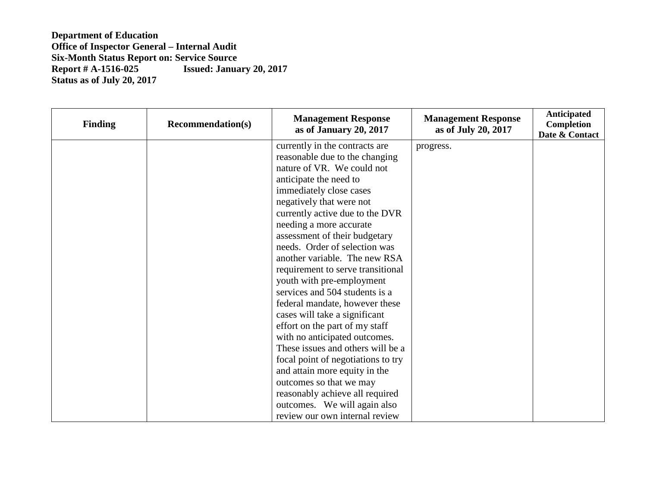| <b>Finding</b> | <b>Recommendation(s)</b> | <b>Management Response</b><br>as of January 20, 2017 | <b>Management Response</b><br>as of July 20, 2017 | Anticipated<br>Completion<br>Date & Contact |
|----------------|--------------------------|------------------------------------------------------|---------------------------------------------------|---------------------------------------------|
|                |                          | currently in the contracts are                       | progress.                                         |                                             |
|                |                          | reasonable due to the changing                       |                                                   |                                             |
|                |                          | nature of VR. We could not                           |                                                   |                                             |
|                |                          | anticipate the need to                               |                                                   |                                             |
|                |                          | immediately close cases                              |                                                   |                                             |
|                |                          | negatively that were not                             |                                                   |                                             |
|                |                          | currently active due to the DVR                      |                                                   |                                             |
|                |                          | needing a more accurate                              |                                                   |                                             |
|                |                          | assessment of their budgetary                        |                                                   |                                             |
|                |                          | needs. Order of selection was                        |                                                   |                                             |
|                |                          | another variable. The new RSA                        |                                                   |                                             |
|                |                          | requirement to serve transitional                    |                                                   |                                             |
|                |                          | youth with pre-employment                            |                                                   |                                             |
|                |                          | services and 504 students is a                       |                                                   |                                             |
|                |                          | federal mandate, however these                       |                                                   |                                             |
|                |                          | cases will take a significant                        |                                                   |                                             |
|                |                          | effort on the part of my staff                       |                                                   |                                             |
|                |                          | with no anticipated outcomes.                        |                                                   |                                             |
|                |                          | These issues and others will be a                    |                                                   |                                             |
|                |                          | focal point of negotiations to try                   |                                                   |                                             |
|                |                          | and attain more equity in the                        |                                                   |                                             |
|                |                          | outcomes so that we may                              |                                                   |                                             |
|                |                          | reasonably achieve all required                      |                                                   |                                             |
|                |                          | outcomes. We will again also                         |                                                   |                                             |
|                |                          | review our own internal review                       |                                                   |                                             |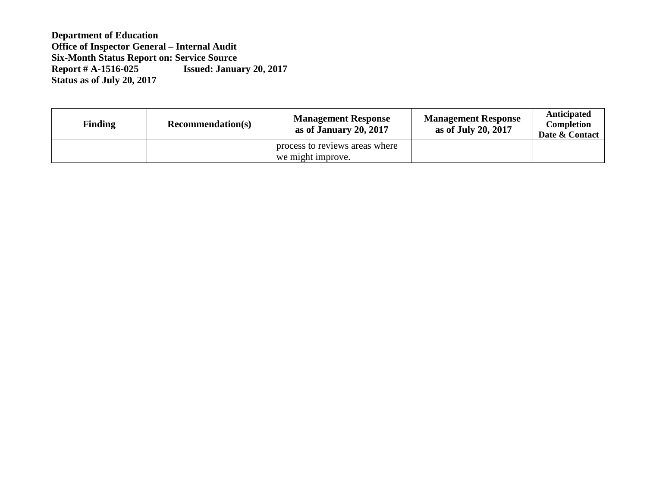| <b>Finding</b> | <b>Recommendation(s)</b> | <b>Management Response</b><br>as of January 20, 2017 | <b>Management Response</b><br>as of July 20, 2017 | Anticipated<br><b>Completion</b><br>Date & Contact |
|----------------|--------------------------|------------------------------------------------------|---------------------------------------------------|----------------------------------------------------|
|                |                          | process to reviews areas where<br>we might improve.  |                                                   |                                                    |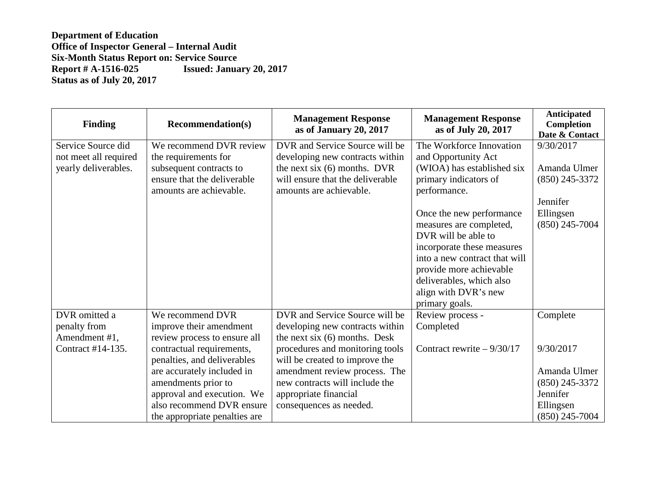| <b>Finding</b>        | <b>Recommendation(s)</b>      | <b>Management Response</b><br>as of January 20, 2017 | <b>Management Response</b><br>as of July 20, 2017 | Anticipated<br>Completion<br>Date & Contact |
|-----------------------|-------------------------------|------------------------------------------------------|---------------------------------------------------|---------------------------------------------|
| Service Source did    | We recommend DVR review       | DVR and Service Source will be                       | The Workforce Innovation                          | 9/30/2017                                   |
| not meet all required | the requirements for          | developing new contracts within                      | and Opportunity Act                               |                                             |
| yearly deliverables.  | subsequent contracts to       | the next six $(6)$ months. DVR                       | (WIOA) has established six                        | Amanda Ulmer                                |
|                       | ensure that the deliverable   | will ensure that the deliverable                     | primary indicators of                             | $(850)$ 245-3372                            |
|                       | amounts are achievable.       | amounts are achievable.                              | performance.                                      |                                             |
|                       |                               |                                                      |                                                   | Jennifer                                    |
|                       |                               |                                                      | Once the new performance                          | Ellingsen                                   |
|                       |                               |                                                      | measures are completed,                           | $(850)$ 245-7004                            |
|                       |                               |                                                      | DVR will be able to                               |                                             |
|                       |                               |                                                      | incorporate these measures                        |                                             |
|                       |                               |                                                      | into a new contract that will                     |                                             |
|                       |                               |                                                      | provide more achievable                           |                                             |
|                       |                               |                                                      | deliverables, which also                          |                                             |
|                       |                               |                                                      | align with DVR's new                              |                                             |
|                       |                               |                                                      | primary goals.                                    |                                             |
| DVR omitted a         | We recommend DVR              | DVR and Service Source will be                       | Review process -                                  | Complete                                    |
| penalty from          | improve their amendment       | developing new contracts within                      | Completed                                         |                                             |
| Amendment #1,         | review process to ensure all  | the next six $(6)$ months. Desk                      |                                                   |                                             |
| Contract #14-135.     | contractual requirements,     | procedures and monitoring tools                      | Contract rewrite $-9/30/17$                       | 9/30/2017                                   |
|                       | penalties, and deliverables   | will be created to improve the                       |                                                   |                                             |
|                       | are accurately included in    | amendment review process. The                        |                                                   | Amanda Ulmer                                |
|                       | amendments prior to           | new contracts will include the                       |                                                   | $(850)$ 245-3372                            |
|                       | approval and execution. We    | appropriate financial                                |                                                   | Jennifer                                    |
|                       | also recommend DVR ensure     | consequences as needed.                              |                                                   | Ellingsen                                   |
|                       | the appropriate penalties are |                                                      |                                                   | $(850)$ 245-7004                            |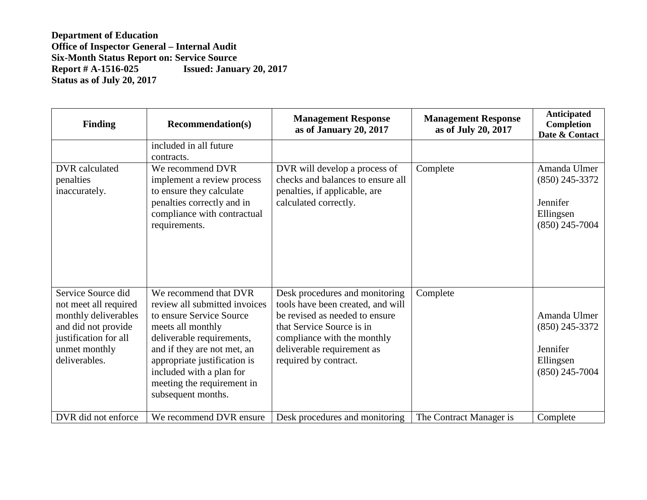| <b>Finding</b>                                                                                                                                        | <b>Recommendation(s)</b>                                                                                                                                                                                                                                                            | <b>Management Response</b><br>as of January 20, 2017                                                                                                                                                                     | <b>Management Response</b><br>as of July 20, 2017 | <b>Anticipated</b><br>Completion<br>Date & Contact                            |
|-------------------------------------------------------------------------------------------------------------------------------------------------------|-------------------------------------------------------------------------------------------------------------------------------------------------------------------------------------------------------------------------------------------------------------------------------------|--------------------------------------------------------------------------------------------------------------------------------------------------------------------------------------------------------------------------|---------------------------------------------------|-------------------------------------------------------------------------------|
|                                                                                                                                                       | included in all future<br>contracts.                                                                                                                                                                                                                                                |                                                                                                                                                                                                                          |                                                   |                                                                               |
| DVR calculated<br>penalties<br>inaccurately.                                                                                                          | We recommend DVR<br>implement a review process<br>to ensure they calculate<br>penalties correctly and in<br>compliance with contractual<br>requirements.                                                                                                                            | DVR will develop a process of<br>checks and balances to ensure all<br>penalties, if applicable, are<br>calculated correctly.                                                                                             | Complete                                          | Amanda Ulmer<br>$(850)$ 245-3372<br>Jennifer<br>Ellingsen<br>$(850)$ 245-7004 |
| Service Source did<br>not meet all required<br>monthly deliverables<br>and did not provide<br>justification for all<br>unmet monthly<br>deliverables. | We recommend that DVR<br>review all submitted invoices<br>to ensure Service Source<br>meets all monthly<br>deliverable requirements,<br>and if they are not met, an<br>appropriate justification is<br>included with a plan for<br>meeting the requirement in<br>subsequent months. | Desk procedures and monitoring<br>tools have been created, and will<br>be revised as needed to ensure<br>that Service Source is in<br>compliance with the monthly<br>deliverable requirement as<br>required by contract. | Complete                                          | Amanda Ulmer<br>$(850)$ 245-3372<br>Jennifer<br>Ellingsen<br>$(850)$ 245-7004 |
| DVR did not enforce                                                                                                                                   | We recommend DVR ensure                                                                                                                                                                                                                                                             | Desk procedures and monitoring                                                                                                                                                                                           | The Contract Manager is                           | Complete                                                                      |